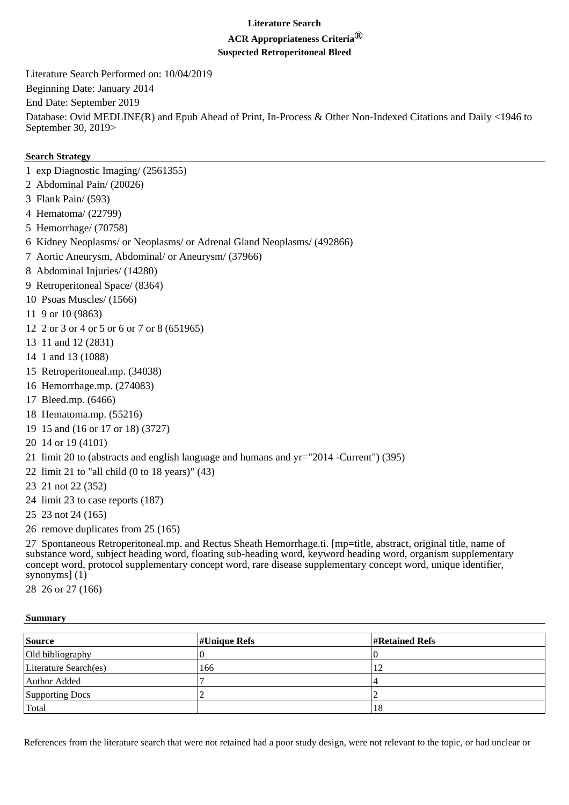## **Literature Search**

## **ACR Appropriateness Criteria®**

**Suspected Retroperitoneal Bleed**

Literature Search Performed on: 10/04/2019 Beginning Date: January 2014 End Date: September 2019 Database: Ovid MEDLINE(R) and Epub Ahead of Print, In-Process & Other Non-Indexed Citations and Daily <1946 to September 30, 2019>

## **Search Strategy**

- 1 exp Diagnostic Imaging/ (2561355)
- 2 Abdominal Pain/ (20026)
- 3 Flank Pain/ (593)
- 4 Hematoma/ (22799)
- 5 Hemorrhage/ (70758)
- 6 Kidney Neoplasms/ or Neoplasms/ or Adrenal Gland Neoplasms/ (492866)
- 7 Aortic Aneurysm, Abdominal/ or Aneurysm/ (37966)
- 8 Abdominal Injuries/ (14280)
- 9 Retroperitoneal Space/ (8364)
- 10 Psoas Muscles/ (1566)
- 11 9 or 10 (9863)
- 12 2 or 3 or 4 or 5 or 6 or 7 or 8 (651965)
- 13 11 and 12 (2831)
- 14 1 and 13 (1088)
- 15 Retroperitoneal.mp. (34038)
- 16 Hemorrhage.mp. (274083)
- 17 Bleed.mp. (6466)
- 18 Hematoma.mp. (55216)
- 19 15 and (16 or 17 or 18) (3727)
- 20 14 or 19 (4101)
- 21 limit 20 to (abstracts and english language and humans and yr="2014 -Current") (395)
- 22 limit 21 to "all child  $(0 \text{ to } 18 \text{ years})$ "  $(43)$
- 23 21 not 22 (352)
- 24 limit 23 to case reports (187)
- 25 23 not 24 (165)
- 26 remove duplicates from 25 (165)

27 Spontaneous Retroperitoneal.mp. and Rectus Sheath Hemorrhage.ti. [mp=title, abstract, original title, name of substance word, subject heading word, floating sub-heading word, keyword heading word, organism supplementary concept word, protocol supplementary concept word, rare disease supplementary concept word, unique identifier, synonyms] (1)

28 26 or 27 (166)

## **Summary**

| Source                | $\sharp$ Unique Refs | <b><i>H</i>Retained Refs</b> |
|-----------------------|----------------------|------------------------------|
| Old bibliography      |                      |                              |
| Literature Search(es) | 166                  |                              |
| Author Added          |                      |                              |
| Supporting Docs       |                      |                              |
| Total                 |                      | 18                           |

References from the literature search that were not retained had a poor study design, were not relevant to the topic, or had unclear or